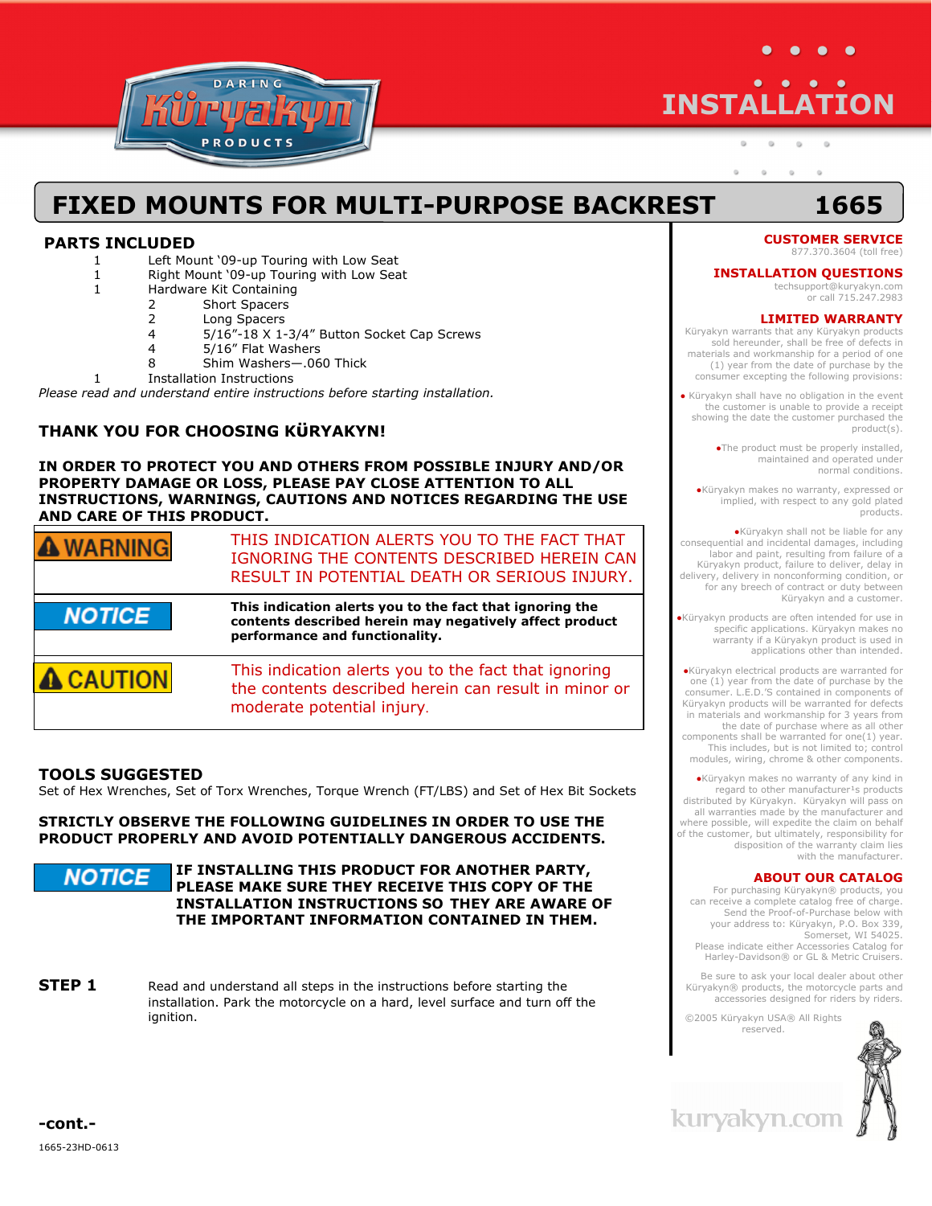

# **INSTALLATION**

 $\alpha$  $\circ$ 

> $\alpha$  $\alpha$  $\alpha$  $\circ$

## **FIXED MOUNTS FOR MULTI-PURPOSE BACKREST 1665**

#### **PARTS INCLUDED**

- 1 Left Mount '09-up Touring with Low Seat
- 1 Right Mount '09-up Touring with Low Seat
- 1 Hardware Kit Containing
	- 2 Short Spacers
	- 2 Long Spacers<br>4 5/16"-18 X 1-
		- 5/16"-18 X 1-3/4" Button Socket Cap Screws
	- 4 5/16" Flat Washers<br>8 Shim Washers-06
	- 8 Shim Washers—.060 Thick

1 Installation Instructions

*Please read and understand entire instructions before starting installation.* 

### **THANK YOU FOR CHOOSING KϋRYAKYN!**

**IN ORDER TO PROTECT YOU AND OTHERS FROM POSSIBLE INJURY AND/OR PROPERTY DAMAGE OR LOSS, PLEASE PAY CLOSE ATTENTION TO ALL INSTRUCTIONS, WARNINGS, CAUTIONS AND NOTICES REGARDING THE USE AND CARE OF THIS PRODUCT.** 

| <b>WARNING</b> | THIS INDICATION ALERTS YOU TO THE FACT THAT<br>IGNORING THE CONTENTS DESCRIBED HEREIN CAN<br>RESULT IN POTENTIAL DEATH OR SERIOUS INJURY.             |
|----------------|-------------------------------------------------------------------------------------------------------------------------------------------------------|
| <b>NOTICE</b>  | This indication alerts you to the fact that ignoring the<br>contents described herein may negatively affect product<br>performance and functionality. |
| <b>CAUTION</b> | This indication alerts you to the fact that ignoring<br>the contents described herein can result in minor or<br>moderate potential injury.            |

#### **TOOLS SUGGESTED**

Set of Hex Wrenches, Set of Torx Wrenches, Torque Wrench (FT/LBS) and Set of Hex Bit Sockets

**STRICTLY OBSERVE THE FOLLOWING GUIDELINES IN ORDER TO USE THE PRODUCT PROPERLY AND AVOID POTENTIALLY DANGEROUS ACCIDENTS.**

**IF INSTALLING THIS PRODUCT FOR ANOTHER PARTY,**  NOTICE **PLEASE MAKE SURE THEY RECEIVE THIS COPY OF THE INSTALLATION INSTRUCTIONS SO THEY ARE AWARE OF THE IMPORTANT INFORMATION CONTAINED IN THEM.**

**STEP 1** Read and understand all steps in the instructions before starting the installation. Park the motorcycle on a hard, level surface and turn off the ignition.

#### **CUSTOMER SERVICE**  877.370.3604 (toll free)

#### **INSTALLATION QUESTIONS**

techsupport@kuryakyn.com or call 715.247.2983

#### **LIMITED WARRANTY**

Küryakyn warrants that any Küryakyn products sold hereunder, shall be free of defects in materials and workmanship for a period of one (1) year from the date of purchase by the consumer excepting the following provisions:

● Küryakyn shall have no obligation in the event the customer is unable to provide a receipt showing the date the customer purchased the product(s).

> ●The product must be properly installed, maintained and operated under normal conditions.

●Küryakyn makes no warranty, expressed or implied, with respect to any gold plated products.

●Küryakyn shall not be liable for any consequential and incidental damages, including labor and paint, resulting from failure of a Küryakyn product, failure to deliver, delay in delivery, delivery in nonconforming condition, or for any breech of contract or duty between Küryakyn and a customer.

●Küryakyn products are often intended for use in specific applications. Küryakyn makes no warranty if a Küryakyn product is used in applications other than intended.

●Küryakyn electrical products are warranted for one (1) year from the date of purchase by the consumer. L.E.D.'S contained in components of Küryakyn products will be warranted for defects in materials and workmanship for 3 years from the date of purchase where as all other components shall be warranted for one(1) year. This includes, but is not limited to; control modules, wiring, chrome & other components.

●Küryakyn makes no warranty of any kind in regard to other manufacturer<sup>1</sup>s products distributed by Küryakyn. Küryakyn will pass on all warranties made by the manufacturer and where possible, will expedite the claim on behalf of the customer, but ultimately, responsibility for disposition of the warranty claim lies with the manufacturer.

#### **ABOUT OUR CATALOG**

For purchasing Küryakyn® products, you can receive a complete catalog free of charge. Send the Proof-of-Purchase below with your address to: Küryakyn, P.O. Box 339, Somerset, WI 54025. Please indicate either Accessories Catalog for Harley-Davidson® or GL & Metric Cruisers.

Be sure to ask your local dealer about other Küryakyn® products, the motorcycle parts and accessories designed for riders by riders.

©2005 Küryakyn USA® All Rights reserved.



kuryakyn.con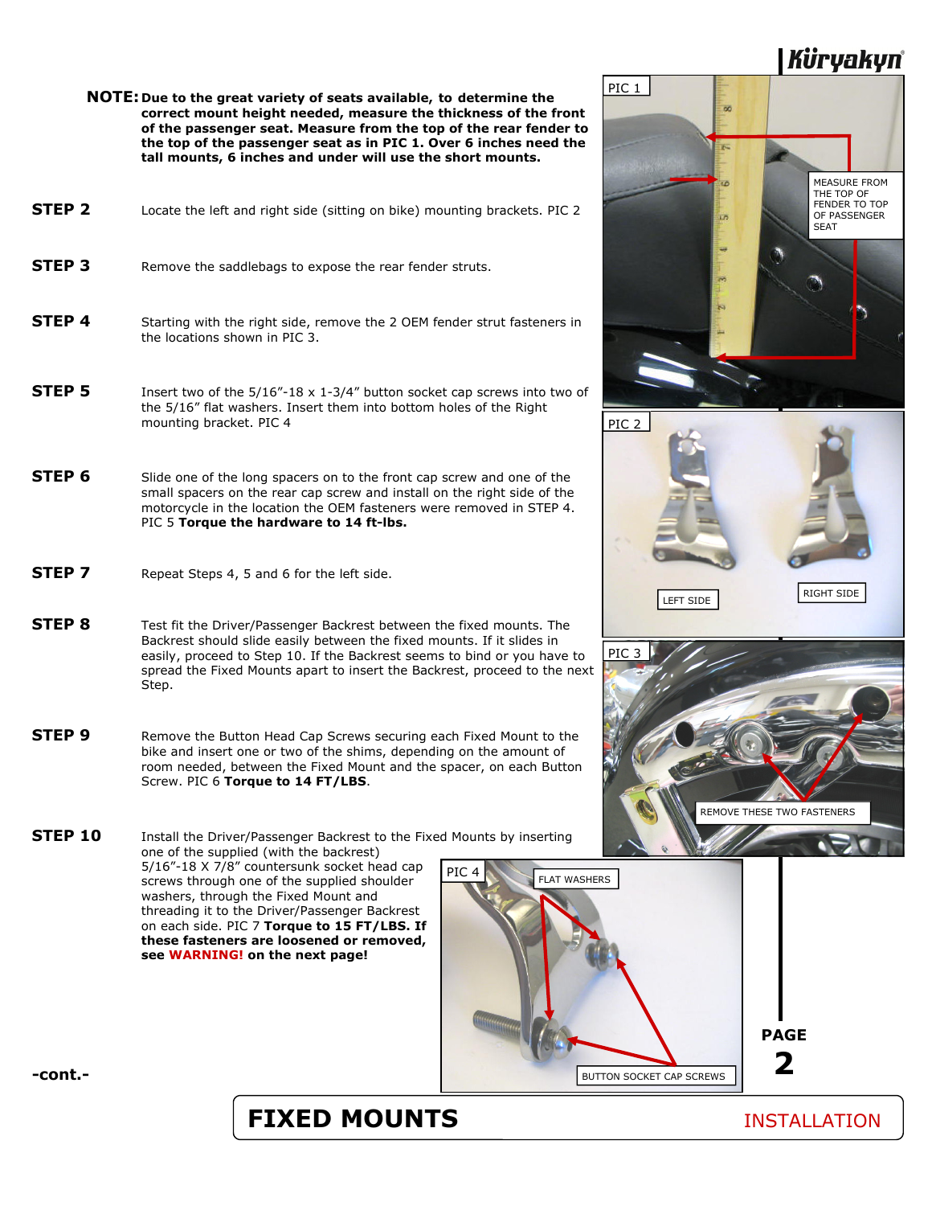## Küryakyn

 **NOTE: Due to the great variety of seats available, to determine the correct mount height needed, measure the thickness of the front of the passenger seat. Measure from the top of the rear fender to the top of the passenger seat as in PIC 1. Over 6 inches need the tall mounts, 6 inches and under will use the short mounts.**

| STEP <sub>2</sub> | Locate the left and right side (sitting on bike) mounting brackets. PIC 2 |
|-------------------|---------------------------------------------------------------------------|
| STEP 3            | Remove the saddlebags to expose the rear fender struts.                   |

- **STEP 4** Starting with the right side, remove the 2 OEM fender strut fasteners in the locations shown in PIC 3.
- **STEP 5** Insert two of the 5/16"-18 x 1-3/4" button socket cap screws into two of the 5/16" flat washers. Insert them into bottom holes of the Right mounting bracket. PIC 4
- **STEP 6** Slide one of the long spacers on to the front cap screw and one of the small spacers on the rear cap screw and install on the right side of the motorcycle in the location the OEM fasteners were removed in STEP 4. PIC 5 **Torque the hardware to 14 ft-lbs.**
- **STEP 7** Repeat Steps 4, 5 and 6 for the left side.
- **STEP 8** Test fit the Driver/Passenger Backrest between the fixed mounts. The Backrest should slide easily between the fixed mounts. If it slides in easily, proceed to Step 10. If the Backrest seems to bind or you have to spread the Fixed Mounts apart to insert the Backrest, proceed to the next Step.
- **STEP 9** Remove the Button Head Cap Screws securing each Fixed Mount to the bike and insert one or two of the shims, depending on the amount of room needed, between the Fixed Mount and the spacer, on each Button Screw. PIC 6 **Torque to 14 FT/LBS**.
- **STEP 10** Install the Driver/Passenger Backrest to the Fixed Mounts by inserting one of the supplied (with the backrest) 5/16"-18 X 7/8" countersunk socket head cap screws through one of the supplied shoulder washers, through the Fixed Mount and threading it to the Driver/Passenger Backrest on each side. PIC 7 **Torque to 15 FT/LBS. If these fasteners are loosened or removed, see WARNING! on the next page!**  PIC





LEFT SIDE RIGHT SIDE



**-cont.-** 

## **FIXED MOUNTS** INSTALLATION